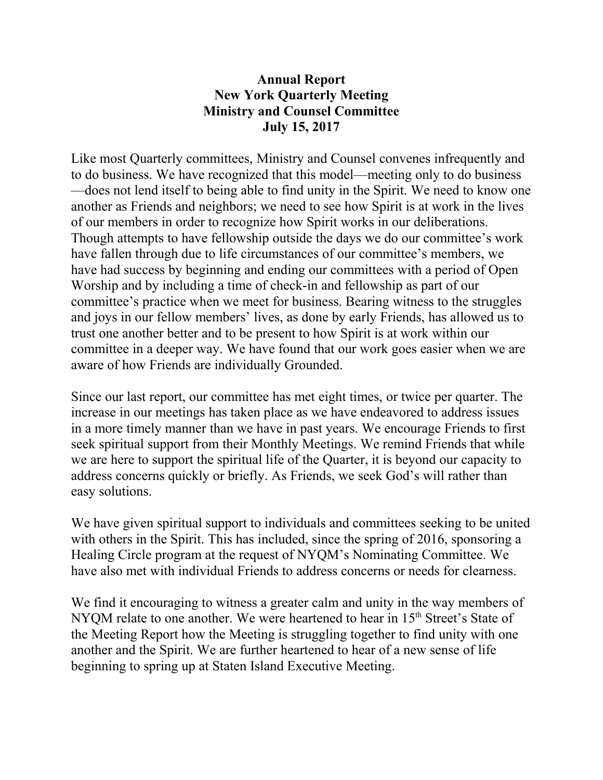## **Annual Report New York Quarterly Meeting Ministry and Counsel Committee July 15, 2017**

Like most Quarterly committees, Ministry and Counsel convenes infrequently and to do business. We have recognized that this model—meeting only to do business —does not lend itself to being able to find unity in the Spirit. We need to know one another as Friends and neighbors; we need to see how Spirit is at work in the lives of our members in order to recognize how Spirit works in our deliberations. Though attempts to have fellowship outside the days we do our committee's work have fallen through due to life circumstances of our committee's members, we have had success by beginning and ending our committees with a period of Open Worship and by including a time of check-in and fellowship as part of our committee's practice when we meet for business. Bearing witness to the struggles and joys in our fellow members' lives, as done by early Friends, has allowed us to trust one another better and to be present to how Spirit is at work within our committee in a deeper way. We have found that our work goes easier when we are aware of how Friends are individually Grounded.

Since our last report, our committee has met eight times, or twice per quarter. The increase in our meetings has taken place as we have endeavored to address issues in a more timely manner than we have in past years. We encourage Friends to first seek spiritual support from their Monthly Meetings. We remind Friends that while we are here to support the spiritual life of the Quarter, it is beyond our capacity to address concerns quickly or briefly. As Friends, we seek God's will rather than easy solutions.

We have given spiritual support to individuals and committees seeking to be united with others in the Spirit. This has included, since the spring of 2016, sponsoring a Healing Circle program at the request of NYQM's Nominating Committee. We have also met with individual Friends to address concerns or needs for clearness.

We find it encouraging to witness a greater calm and unity in the way members of NYQM relate to one another. We were heartened to hear in 15<sup>th</sup> Street's State of the Meeting Report how the Meeting is struggling together to find unity with one another and the Spirit. We are further heartened to hear of a new sense of life beginning to spring up at Staten Island Executive Meeting.